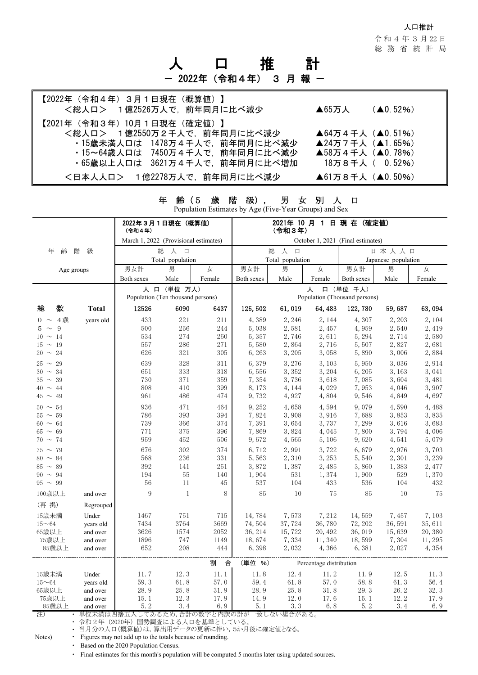#### 人口推計

令 和 4 年 3 月 22 日 総務省統計局

# 口 推 計 2022年 (令和4年) 3 月報 -

| 【2022年(令和4年)3月1日現在(概算値)】                                                                                                                                                                    | $(40.52\%)$                                                                                           |
|---------------------------------------------------------------------------------------------------------------------------------------------------------------------------------------------|-------------------------------------------------------------------------------------------------------|
| <総人ロ> 1億2526万人で、前年同月に比べ減少                                                                                                                                                                   | ▲65万人                                                                                                 |
| 【2021年(令和3年)10月1日現在(確定値)】<br><総人ロ> 1億2550万2千人で、前年同月に比べ減少<br>・15歳未満人口は 1478万4千人で、前年同月に比べ減少<br>・15~64歳人口は 7450万4千人で、前年同月に比べ減少<br>・65歳以上人口は 3621万4千人で、前年同月に比べ増加<br><日本人人口> 1億2278万人で、前年同月に比べ減少 | ▲64万4千人 (▲0.51%)<br>▲24万7千人 (▲1.65%)<br>▲58万4千人 (▲0.78%)<br>18万8千人 (0.52%)<br><b>▲61万8千人 (▲0.50%)</b> |

| 年<br>級)<br>男<br>別<br>齢<br>(5<br>歳<br>陼<br>口<br>女<br>$\cdot$<br>Population Estimates by Age (Five-Year Groups) and Sex |              |                                       |                                                  |        |                                    |                                         |                                                 |            |        |        |  |
|-----------------------------------------------------------------------------------------------------------------------|--------------|---------------------------------------|--------------------------------------------------|--------|------------------------------------|-----------------------------------------|-------------------------------------------------|------------|--------|--------|--|
|                                                                                                                       |              | 2022年3月1日現在 (概算値)<br>(令和4年)           |                                                  |        | 2021年 10 月 1 日 現 在 (確定値)<br>(令和3年) |                                         |                                                 |            |        |        |  |
|                                                                                                                       |              | March 1, 2022 (Provisional estimates) |                                                  |        | October 1, 2021 (Final estimates)  |                                         |                                                 |            |        |        |  |
| 齢<br>年                                                                                                                | 階<br>級       |                                       | 総<br>人 口                                         |        |                                    | 総<br>人<br>$\Box$                        |                                                 | 日本人人口      |        |        |  |
|                                                                                                                       |              |                                       | Total population                                 |        |                                    | Total population<br>Japanese population |                                                 |            |        |        |  |
| Age groups                                                                                                            |              | 男女計                                   | 男                                                | 女      | 男女計                                | 男                                       | 女                                               | 男女計        | 男      | 女      |  |
|                                                                                                                       |              | Both sexes                            | Male                                             | Female | Both sexes                         | Male                                    | Female                                          | Both sexes | Male   | Female |  |
|                                                                                                                       |              |                                       | 人 口 (単位 万人)<br>Population (Ten thousand persons) |        |                                    |                                         | 口 (単位 千人)<br>人<br>Population (Thousand persons) |            |        |        |  |
| 数<br>総                                                                                                                | <b>Total</b> | 12526                                 | 6090                                             | 6437   | 125, 502                           | 61,019                                  | 64, 483                                         | 122,780    | 59,687 | 63,094 |  |
| $0 \sim 4$ 歳                                                                                                          | years old    | 433                                   | 221                                              | 211    | 4,389                              | 2, 246                                  | 2, 144                                          | 4,307      | 2, 203 | 2, 104 |  |
| $5 \sim$<br>-9                                                                                                        |              | 500                                   | 256                                              | 244    | 5,038                              | 2,581                                   | 2,457                                           | 4,959      | 2,540  | 2,419  |  |
| $10 \sim 14$                                                                                                          |              | 534                                   | 274                                              | 260    | 5,357                              | 2,746                                   | 2,611                                           | 5,294      | 2,714  | 2,580  |  |
| $15 \sim 19$                                                                                                          |              | 557                                   | 286                                              | 271    | 5,580                              | 2,864                                   | 2,716                                           | 5,507      | 2,827  | 2,681  |  |
| $20 \sim 24$                                                                                                          |              | 626                                   | 321                                              | 305    | 6,263                              | 3, 205                                  | 3,058                                           | 5,890      | 3,006  | 2,884  |  |
| $25 \sim 29$                                                                                                          |              | 639                                   | 328                                              | 311    | 6,379                              | 3,276                                   | 3,103                                           | 5,950      | 3,036  | 2,914  |  |
| $30 \sim 34$                                                                                                          |              | 651                                   | 333                                              | 318    | 6,556                              | 3,352                                   | 3,204                                           | 6,205      | 3,163  | 3,041  |  |
| $35 \sim 39$                                                                                                          |              | 730                                   | 371                                              | 359    | 7,354                              | 3,736                                   | 3,618                                           | 7,085      | 3,604  | 3,481  |  |
| $40 \sim 44$                                                                                                          |              | 808                                   | 410                                              | 399    | 8,173                              | 4, 144                                  | 4,029                                           | 7,953      | 4,046  | 3,907  |  |
| $45 \sim 49$                                                                                                          |              | 961                                   | 486                                              | 474    | 9,732                              | 4,927                                   | 4,804                                           | 9,546      | 4,849  | 4,697  |  |
| $50 \sim 54$                                                                                                          |              | 936                                   | 471                                              | 464    | 9,252                              | 4,658                                   | 4,594                                           | 9,079      | 4,590  | 4,488  |  |
| $55 \sim 59$                                                                                                          |              | 786                                   | 393                                              | 394    | 7,824                              | 3,908                                   | 3,916                                           | 7,688      | 3,853  | 3,835  |  |
| $60 \sim 64$                                                                                                          |              | 739                                   | 366                                              | 374    | 7,391                              | 3,654                                   | 3,737                                           | 7,299      | 3,616  | 3,683  |  |
| $65 \sim 69$                                                                                                          |              | 771                                   | 375                                              | 396    | 7,869                              | 3,824                                   | 4,045                                           | 7,800      | 3,794  | 4,006  |  |
| $70 \sim 74$                                                                                                          |              | 959                                   | $452\,$                                          | 506    | 9,672                              | 4,565                                   | 5,106                                           | 9,620      | 4,541  | 5,079  |  |
| $75 \sim 79$                                                                                                          |              | 676                                   | 302                                              | 374    | 6,712                              | 2,991                                   | 3,722                                           | 6,679      | 2,976  | 3,703  |  |
| $80 \sim 84$                                                                                                          |              | 568                                   | $236\,$                                          | 331    | 5,563                              | 2,310                                   | 3, 253                                          | 5,540      | 2,301  | 3,239  |  |
| $85 \sim 89$                                                                                                          |              | 392                                   | 141                                              | 251    | 3,872                              | 1,387                                   | 2,485                                           | 3,860      | 1,383  | 2,477  |  |
| $90 \sim 94$                                                                                                          |              | 194                                   | 55                                               | 140    | 1,904                              | 531                                     | 1,374                                           | 1,900      | 529    | 1,370  |  |
| $95 \sim 99$                                                                                                          |              | 56                                    | 11                                               | 45     | 537                                | 104                                     | 433                                             | 536        | 104    | 432    |  |
| 100歳以上                                                                                                                | and over     | 9                                     | 1                                                | 8      | 85                                 | 10                                      | 75                                              | 85         | 10     | 75     |  |
| (再 掲)                                                                                                                 | Regrouped    |                                       |                                                  |        |                                    |                                         |                                                 |            |        |        |  |
| 15歳未満                                                                                                                 | Under        | 1467                                  | 751                                              | 715    | 14,784                             | 7,573                                   | 7,212                                           | 14,559     | 7,457  | 7,103  |  |
| $15 - 64$                                                                                                             | years old    | 7434                                  | 3764                                             | 3669   | 74,504                             | 37,724                                  | 36,780                                          | 72, 202    | 36,591 | 35,611 |  |
| 65歳以上                                                                                                                 | and over     | 3626                                  | 1574                                             | 2052   | 36, 214                            | 15,722                                  | 20, 492                                         | 36,019     | 15,639 | 20,380 |  |
| 75歳以上                                                                                                                 | and over     | 1896                                  | 747                                              | 1149   | 18,674                             | 7,334                                   | 11,340                                          | 18,599     | 7,304  | 11,295 |  |
| 85歳以上                                                                                                                 | and over     | 652                                   | 208                                              | 444    | 6,398                              | 2,032                                   | 4,366                                           | 6,381      | 2,027  | 4,354  |  |
|                                                                                                                       |              |                                       |                                                  | 割<br>合 | (単位 %)                             |                                         | Percentage distribution                         |            |        |        |  |
| 15歳未満                                                                                                                 | Under        | 11.7                                  | 12.3                                             | 11.1   | 11.8                               | 12.4                                    | 11.2                                            | 11.9       | 12.5   | 11.3   |  |
| $15 - 64$                                                                                                             | years old    | 59.3                                  | 61.8                                             | 57.0   | 59.4                               | 61.8                                    | 57.0                                            | 58.8       | 61.3   | 56.4   |  |
| 65歳以上                                                                                                                 | and over     | 28.9                                  | 25.8                                             | 31.9   | 28.9                               | 25.8                                    | 31.8                                            | 29.3       | 26.2   | 32.3   |  |
| 75歳以上                                                                                                                 | and over     | 15.1                                  | 12.3                                             | 17.9   | 14.9                               | 12.0                                    | 17.6                                            | 15.1       | 12.2   | 17.9   |  |

85歳以上 and over 5.2 3.4 6.9 5.1 3.3 6.8 5.2 3.4 6.9

注) ・ 単位未満は四捨五入してあるため,合計の数字と内訳の計が一致しない場合がある。

・ 令和2年(2020年)国勢調査による人口を基準としている。

・ 当月分の人口(概算値)は,算出用データの更新に伴い,5か月後に確定値となる。

Notes) • Figures may not add up to the totals because of rounding.

・ Based on the 2020 Population Census.

・ Final estimates for this month's population will be computed 5 months later using updated sources.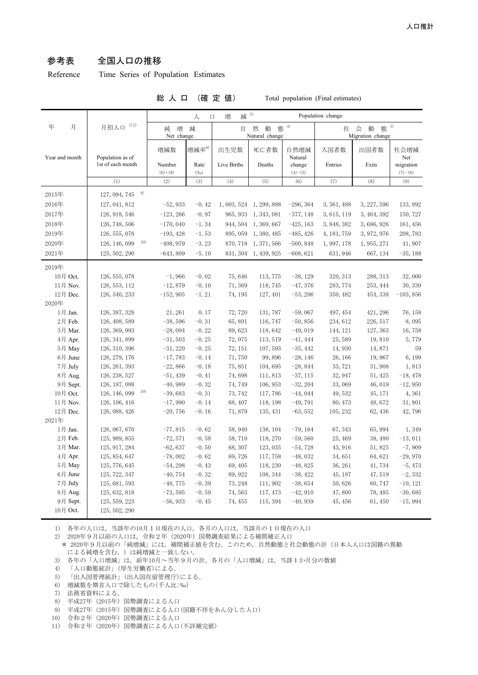## 参考表 全国人口の推移

Reference Time Series of Population Estimates

#### 総 人 口 (確 定 値) Total population (Final estimates)

|                |                      | $3)$<br>減<br>増<br>人<br>Population change<br>$\Box$ |              |             |                          |                     |             |                                    |                        |  |  |
|----------------|----------------------|----------------------------------------------------|--------------|-------------|--------------------------|---------------------|-------------|------------------------------------|------------------------|--|--|
| 月<br>年         | 月初人口 1)2)            | 増<br>純<br>減<br>Net change                          |              | 自           | 然<br>動<br>Natural change | 態 $4$               | 社           | 態 5)<br>会<br>動<br>Migration change |                        |  |  |
| Year and month | Population as of     | 増減数                                                | 增減率 $^{6)}$  | 出生児数        | 死亡者数                     | 自然増減<br>Natural     | 入国者数        | 出国者数                               | 社会増減<br>Net            |  |  |
|                | 1st of each month    | Number<br>$(6)+(9)$                                | Rate<br>(%o) | Live Births | Deaths                   | change<br>$(4)-(5)$ | Entries     | Exits                              | migration<br>$(7)-(8)$ |  |  |
|                | (1)                  | (2)                                                | (3)          | (4)         | (5)                      | (6)                 | (7)         | (8)                                | (9)                    |  |  |
| 2015年          | 8)<br>127, 094, 745  |                                                    |              |             |                          |                     |             |                                    |                        |  |  |
| 2016年          | 127, 041, 812        | $-52,933$                                          | $-0.42$      |             | 1, 003, 524 1, 299, 888  | $-296, 364$         | 3, 361, 488 | 3, 227, 596                        | 133, 892               |  |  |
| 2017年          | 126, 918, 546        | $-123, 266$                                        | $-0.97$      | 965, 933    | 1, 343, 081              | $-377, 148$         | 3,615,119   | 3, 464, 392                        | 150, 727               |  |  |
| 2018年          | 126, 748, 506        | $-170,040$                                         | $-1.34$      | 944, 504    | 1, 369, 667              | $-425, 163$         | 3, 848, 382 | 3,686,926                          | 161, 456               |  |  |
| 2019年          | 126, 555, 078        | $-193, 428$                                        | $-1.53$      | 895,059     | 1,380,485                | $-485, 426$         | 4, 181, 759 | 3, 972, 976                        | 208, 783               |  |  |
| 2020年          | 10)<br>126, 146, 099 | $-408,979$                                         | $-3.23$      | 870, 718    | 1, 371, 566              | $-500, 848$         | 1,997,178   | 1, 955, 271                        | 41,907                 |  |  |
| 2021年          | 125, 502, 290        | $-643,809$                                         | $-5.10$      | 831, 304    | 1, 439, 925              | $-608, 621$         | 631, 946    | 667, 134                           | $-35,188$              |  |  |
| 2019年          |                      |                                                    |              |             |                          |                     |             |                                    |                        |  |  |
| 10月 Oct.       | 126, 555, 078        | $-1,966$                                           | $-0.02$      | 75,646      | 113,775                  | $-38, 129$          | 320, 313    | 288, 313                           | 32,000                 |  |  |
| 11月 Nov.       | 126, 553, 112        | $-12,879$                                          | $-0.10$      | 71,369      | 118,745                  | $-47,376$           | 283, 774    | 253, 444                           | 30, 330                |  |  |
| 12月 Dec.       | 126, 540, 233        | $-152,905$                                         | $-1.21$      | 74, 195     | 127, 401                 | $-53, 206$          | 350, 482    | 454, 338                           | $-103, 856$            |  |  |
| 2020年          |                      |                                                    |              |             |                          |                     |             |                                    |                        |  |  |
| 1月 Jan.        | 126, 387, 328        | 21, 261                                            | 0.17         | 72,720      | 131,787                  | $-59,067$           | 497, 454    | 421, 296                           | 76, 158                |  |  |
| 2月 Feb.        | 126, 408, 589        | $-38,596$                                          | $-0.31$      | 65,891      | 116, 747                 | $-50, 856$          | 234, 612    | 226, 517                           | 8,095                  |  |  |
| 3月 Mar.        | 126, 369, 993        | $-28,094$                                          | $-0.22$      | 69,623      | 118,642                  | $-49,019$           | 144, 121    | 127, 363                           | 16,758                 |  |  |
| 4月 Apr.        | 126, 341, 899        | $-31,503$                                          | $-0.25$      | 72,075      | 113, 519                 | $-41, 444$          | 25,589      | 19,810                             | 5,779                  |  |  |
| 5月 May         | 126, 310, 396        | $-31,220$                                          | $-0.25$      | 72, 151     | 107,593                  | $-35,442$           | 14,930      | 14,871                             | 59                     |  |  |
| 6月 June        | 126, 279, 176        | $-17,783$                                          | $-0.14$      | 71,750      | 99,896                   | $-28, 146$          | 26, 166     | 19,967                             | 6,199                  |  |  |
| 7月 July        | 126, 261, 393        | $-22,866$                                          | $-0.18$      | 75,851      | 104,695                  | $-28,844$           | 33, 721     | 31,908                             | 1,813                  |  |  |
| 8月 Aug.        | 126, 238, 527        | $-51,439$                                          | $-0.41$      | 74,698      | 111,813                  | $-37, 115$          | 32, 947     | 51, 425                            | $-18,478$              |  |  |
| 9月 Sept.       | 126, 187, 088        | $-40,989$                                          | $-0.32$      | 74,749      | 106, 953                 | $-32, 204$          | 33,069      | 46,019                             | $-12,950$              |  |  |
| 10月 Oct.       | 10)<br>126, 146, 099 | $-39,683$                                          | $-0.31$      | 73, 742     | 117,786                  | $-44,044$           | 49,532      | 45, 171                            | 4,361                  |  |  |
| 11月 Nov.       | 126, 106, 416        | $-17,990$                                          | $-0.14$      | 68,407      | 118, 198                 | $-49,791$           | 80, 473     | 48,672                             | 31,801                 |  |  |
| 12月 Dec.       | 126, 088, 426        | $-20,756$                                          | $-0.16$      | 71,879      | 135, 431                 | $-63, 552$          | 105, 232    | 62, 436                            | 42,796                 |  |  |
| 2021年          |                      |                                                    |              |             |                          |                     |             |                                    |                        |  |  |
| 1月 Jan.        | 126, 067, 670        | $-77,815$                                          | $-0.62$      | 58,940      | 138, 104                 | $-79,164$           | 67, 343     | 65, 994                            | 1,349                  |  |  |
| 2月 Feb.        | 125, 989, 855        | $-72,571$                                          | $-0.58$      | 58,710      | 118, 270                 | $-59,560$           | 25, 469     | 38,480                             | $-13,011$              |  |  |
| 3月 Mar.        | 125, 917, 284        | $-62,637$                                          | $-0.50$      | 68, 307     | 123, 035                 | $-54,728$           | 43, 916     | 51,825                             | $-7,909$               |  |  |
| 4月 Apr.        | 125, 854, 647        | $-78,002$                                          | $-0.62$      | 69,726      | 117,758                  | $-48,032$           | 34,651      | 64,621                             | $-29,970$              |  |  |
| 5月 May         | 125, 776, 645        | $-54, 298$                                         | $-0.43$      | 69, 405     | 118, 230                 | $-48,825$           | 36, 261     | 41,734                             | $-5,473$               |  |  |
| 6月 June        | 125, 722, 347        | $-40,754$                                          | $-0.32$      | 69,922      | 108, 344                 | $-38,422$           | 45, 187     | 47,519                             | $-2, 332$              |  |  |
| 7月 July        | 125, 681, 593        | $-48,775$                                          | $-0.39$      | 73, 248     | 111,902                  | $-38,654$           | 50,626      | 60,747                             | $-10, 121$             |  |  |
| 8月 Aug.        | 125, 632, 818        | $-73,595$                                          | $-0.59$      | 74,563      | 117, 473                 | $-42,910$           | 47,800      | 78, 485                            | $-30,685$              |  |  |
| 9月 Sept.       | 125, 559, 223        | $-56,933$                                          | $-0.45$      | 74, 455     | 115, 394                 | $-40,939$           | 45, 456     | 61,450                             | $-15,994$              |  |  |
| 10月 Oct.       | 125, 502, 290        |                                                    |              |             |                          |                     |             |                                    |                        |  |  |

1) 各年の人口は,当該年の10月1日現在の人口。各月の人口は,当該月の1日現在の人口

2) 2020年9月以前の人口は,令和2年(2020年)国勢調査結果による補間補正人口

\* 2020年9月以前の「純増減」には、補間補正値を含む。このため、自然動態と社会動態の計(日本人人口は国籍の異動 による純増を含む。)は純増減と一致しない。

3) 各年の「人口増減」は,前年10月~当年9月の計。各月の「人口増減」は,当該1か月分の数値

4) 「人口動態統計」(厚生労働省)による。

5) 「出入国管理統計」(出入国在留管理庁)による。

6) 増減数を期首人口で除したもの(千人比:‰)

7) 法務省資料による。

- 8) 平成27年(2015年)国勢調査による人口
- 9) 平成27年(2015年)国勢調査による人口(国籍不祥をあん分した人口)
- 10) 令和2年(2020年)国勢調査による人口
- 11) 令和2年(2020年)国勢調査による人口(不詳補完値)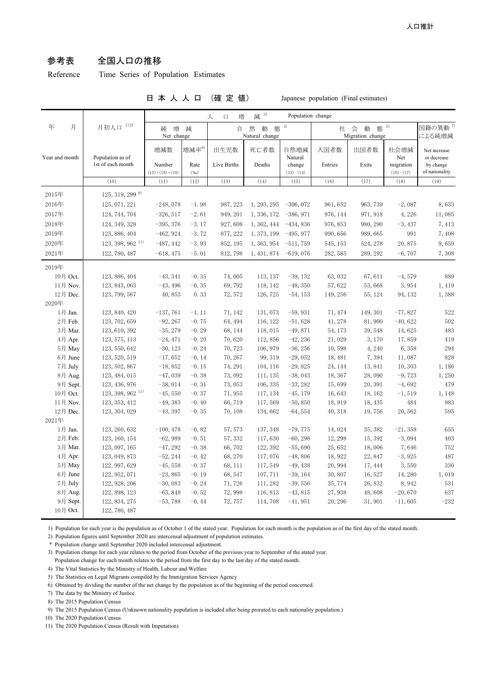# 参考表 全国人口の推移

Reference Time Series of Population Estimates

### 日 本 人 人 口 (確 定 値) Japanese population (Final estimates)

|                   | 1) 2)<br>月初人口                  | 減 3)<br>増<br>Population change<br>人<br>$\Box$ |                            |                                          |             |                       |                       |                               |                          |                             |
|-------------------|--------------------------------|-----------------------------------------------|----------------------------|------------------------------------------|-------------|-----------------------|-----------------------|-------------------------------|--------------------------|-----------------------------|
| 年<br>月            |                                | 増<br>減<br>純<br>Net change                     |                            | 4)<br>然<br>動<br>態<br>自<br>Natural change |             |                       | 社<br>Migration change | 国籍の異動 <sup>7)</sup><br>による純増減 |                          |                             |
| Year and month    | Population as of               | 増減数                                           | 増減率6)                      | 出生児数                                     | 死亡者数        | 自然増減<br>Natural       | 入国者数                  | 出国者数                          | 社会増減<br>Net              | Net increase<br>or decrease |
|                   | 1st of each month              | Number<br>$(15)+(18)+(19)$                    | Rate<br>( % <sub>0</sub> ) | Live Births                              | Deaths      | change<br>$(13)-(14)$ | Entries               | Exits                         | migration<br>$(16)-(17)$ | by change<br>of nationality |
|                   | (10)                           | (11)                                          | (12)                       | (13)                                     | (14)        | (15)                  | (16)                  | (17)                          | (18)                     | (19)                        |
| 2015年             | $125, 319, 299$ <sup>9)</sup>  |                                               |                            |                                          |             |                       |                       |                               |                          |                             |
| 2016年             | 125, 071, 221                  | $-248,078$                                    | $-1.98$                    | 987, 223                                 | 1, 293, 295 | $-306,072$            | 961, 652              | 963, 739                      | $-2,087$                 | 8,633                       |
| 2017年             | 124, 744, 704                  | $-326, 517$                                   | $-2.61$                    | 949, 201                                 | 1, 336, 172 | $-386,971$            | 976, 144              | 971, 918                      | 4,226                    | 11,085                      |
| 2018年             | 124, 349, 328                  | $-395, 376$                                   | $-3.17$                    | 927,608                                  | 1, 362, 444 | $-434,836$            | 976, 853              | 980, 290                      | $-3,437$                 | 7,413                       |
| 2019年             | 123, 886, 404                  | $-462,924$                                    | $-3.72$                    | 877, 222                                 | 1, 373, 199 | $-495,977$            | 990, 656              | 989,665                       | 991                      | 7,408                       |
| 2020年             | $123, 398, 962$ <sup>11)</sup> | $-487, 442$                                   | $-3.93$                    | 852, 195                                 | 1, 363, 954 | $-511,759$            | 545, 153              | 524, 278                      | 20,875                   | 9,659                       |
| 2021年             | 122, 780, 487                  | $-618, 475$                                   | $-5.01$                    | 812, 798                                 | 1, 431, 874 | $-619,076$            | 282, 585              | 289, 292                      | $-6,707$                 | 7,308                       |
| 2019年             |                                |                                               |                            |                                          |             |                       |                       |                               |                          |                             |
| 10月 Oct.          | 123, 886, 404                  | $-43, 341$                                    | $-0.35$                    | 74,005                                   | 113, 137    | $-39,132$             | 63,032                | 67,611                        | $-4,579$                 | 889                         |
| 11月 Nov.          | 123, 843, 063                  | $-43, 496$                                    | $-0.35$                    | 69,792                                   | 118, 142    | $-48, 350$            | 57,622                | 53,668                        | 3,954                    | 1,419                       |
| 12月 Dec.          | 123, 799, 567                  | 40,853                                        | 0.33                       | 72, 572                                  | 126, 725    | $-54, 153$            | 149, 256              | 55, 124                       | 94, 132                  | 1,388                       |
| 2020年             |                                |                                               |                            |                                          |             |                       |                       |                               |                          |                             |
| 1月 Jan.           | 123, 840, 420                  | $-137,761$                                    | $-1.11$                    | 71, 142                                  | 131,073     | $-59,931$             | 71, 474               | 149, 301                      | $-77,827$                | 522                         |
| 2月 Feb.           | 123, 702, 659                  | $-92, 267$                                    | $-0.75$                    | 64, 494                                  | 116, 122    | $-51,628$             | 41,278                | 81,900                        | $-40,622$                | 502                         |
| 3月 Mar.           | 123, 610, 392                  | $-35, 279$                                    | $-0.29$                    | 68, 144                                  | 118,015     | $-49,871$             | 54, 173               | 39, 548                       | 14,625                   | 483                         |
| 4月 Apr.           | 123, 575, 113                  | $-24,471$                                     | $-0.20$                    | 70,620                                   | 112,856     | $-42, 236$            | 21,029                | 3,170                         | 17,859                   | 419                         |
| 5月 May            | 123, 550, 642                  | $-30, 123$                                    | $-0.24$                    | 70,723                                   | 106, 979    | $-36, 256$            | 10,598                | 4,240                         | 6,358                    | 294                         |
| 6月 June           | 123, 520, 519                  | $-17,652$                                     | $-0.14$                    | 70, 267                                  | 99, 319     | $-29,052$             | 18,481                | 7,394                         | 11,087                   | 828                         |
| 7月 July           | 123, 502, 867                  | $-18,852$                                     | $-0.15$                    | 74, 291                                  | 104, 116    | $-29,825$             | 24, 144               | 13,841                        | 10,303                   | 1,186                       |
| 8月 Aug.           | 123, 484, 015                  | $-47,039$                                     | $-0.38$                    | 73,092                                   | 111, 135    | $-38,043$             | 18,367                | 28,090                        | $-9,723$                 | 1,250                       |
| 9月 Sept.          | 123, 436, 976                  | $-38,014$                                     | $-0.31$                    | 73,053                                   | 106, 335    | $-33,282$             | 15,699                | 20, 391                       | $-4,692$                 | 479                         |
| 10月 Oct.          | $123, 398, 962$ <sup>11)</sup> | $-45,550$                                     | $-0.37$                    | 71,955                                   | 117, 134    | $-45, 179$            | 16,643                | 18, 162                       | $-1,519$                 | 1,148                       |
| 11月 Nov.          | 123, 353, 412                  | $-49,383$                                     | $-0.40$                    | 66,719                                   | 117,569     | $-50,850$             | 18,919                | 18, 435                       | 484                      | 983                         |
| 12月 Dec.<br>2021年 | 123, 304, 029                  | $-43, 397$                                    | $-0.35$                    | 70, 108                                  | 134,662     | $-64,554$             | 40, 318               | 19,756                        | 20,562                   | 595                         |
| 1月 Jan.           | 123, 260, 632                  | $-100, 478$                                   | $-0.82$                    | 57, 573                                  | 137, 348    | $-79,775$             | 14,024                | 35, 382                       | $-21,358$                | 655                         |
| 2月 Feb.           | 123, 160, 154                  | $-62,989$                                     | $-0.51$                    | 57, 332                                  | 117,630     | $-60, 298$            | 12, 298               | 15, 392                       | $-3,094$                 | 403                         |
| 3月 Mar.           | 123, 097, 165                  | $-47, 292$                                    | $-0.38$                    | 66,702                                   | 122, 392    | $-55,690$             | 25,652                | 18,006                        | 7,646                    | 752                         |
| 4月 Apr.           | 123, 049, 873                  | $-52, 244$                                    | $-0.42$                    | 68,270                                   | 117,076     | $-48,806$             | 18,922                | 22, 847                       | $-3,925$                 | 487                         |
| 5月 May            | 122, 997, 629                  | $-45,558$                                     | $-0.37$                    | 68, 111                                  | 117,549     | $-49,438$             | 20,994                | 17, 444                       | 3,550                    | 330                         |
| 6月 June           | 122, 952, 071                  | $-23,865$                                     | $-0.19$                    | 68, 547                                  | 107, 711    | $-39, 164$            | 30,807                | 16,527                        | 14,280                   | 1,019                       |
| 7月 July           | 122, 928, 206                  | $-30,083$                                     | $-0.24$                    | 71,726                                   | 111,282     | $-39,556$             | 35, 774               | 26,832                        | 8,942                    | 531                         |
| 8月 Aug.           | 122, 898, 123                  | $-63,848$                                     | $-0.52$                    | 72,998                                   | 116,813     | $-43,815$             | 27,938                | 48,608                        | $-20,670$                | 637                         |
| 9月 Sept.          | 122, 834, 275                  | $-53,788$                                     | $-0.44$                    | 72, 757                                  | 114,708     | $-41,951$             | 20, 296               | 31,901                        | $-11,605$                | $-232$                      |
| 10月 Oct.          | 122, 780, 487                  |                                               |                            |                                          |             |                       |                       |                               |                          |                             |

1) Population for each year is the population as of October 1 of the stated year. Population for each month is the population as of the first day of the stated month.

2) Population figures until September 2020 are intercensal adjustment of population estimates.

\* Population change until September 2020 included intercensal adjustment.

3) Population change for each year relates to the period from October of the previous year to September of the stated year.

Population change for each month relates to the period from the first day to the last day of the stated month.

4) The Vital Statistics by the Ministry of Health, Labour and Welfare

5) The Statistics on Legal Migrants compiled by the Immigration Services Agency

6) Obtained by dividing the number of the net change by the population as of the beginning of the period concerned.

7) The data by the Ministry of Justice

8) The 2015 Population Census

9) The 2015 Population Census (Unknown nationality population is included after being prorated to each nationality population.)

10) The 2020 Population Census

11) The 2020 Population Census (Result with Imputation)